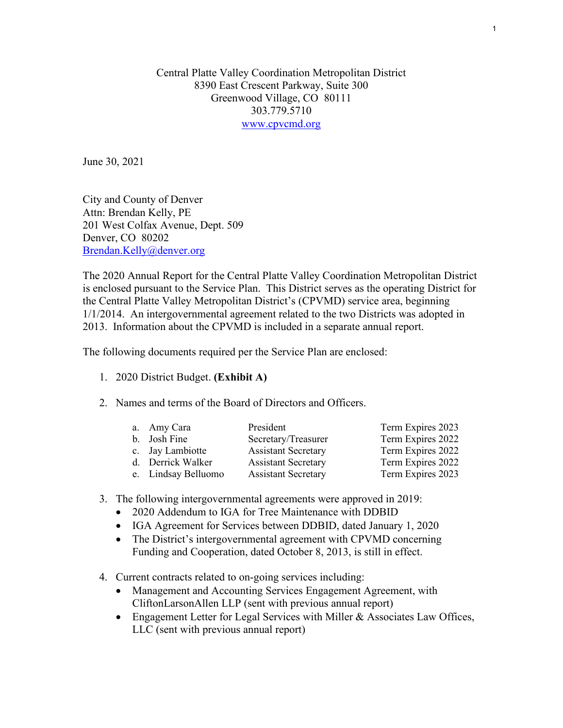Central Platte Valley Coordination Metropolitan District 8390 East Crescent Parkway, Suite 300 Greenwood Village, CO 80111 303.779.5710 [www.cpvcmd.org](http://www.cpvcmd.org/)

June 30, 2021

City and County of Denver Attn: Brendan Kelly, PE 201 West Colfax Avenue, Dept. 509 Denver, CO 80202 [Brendan.Kelly@denver.org](mailto:Brendan.Kelly@denver.org) 

The 2020 Annual Report for the Central Platte Valley Coordination Metropolitan District is enclosed pursuant to the Service Plan. This District serves as the operating District for the Central Platte Valley Metropolitan District's (CPVMD) service area, beginning 1/1/2014. An intergovernmental agreement related to the two Districts was adopted in 2013. Information about the CPVMD is included in a separate annual report.

The following documents required per the Service Plan are enclosed:

- 1. [2020 District Budget.](#page-4-0) **(Exhibit A)**
- 2. Names and terms of the Board of Directors and Officers.

| a. Amy Cara         | President                  | Term Expires 2023 |
|---------------------|----------------------------|-------------------|
| b. Josh Fine        | Secretary/Treasurer        | Term Expires 2022 |
| c. Jay Lambiotte    | <b>Assistant Secretary</b> | Term Expires 2022 |
| d. Derrick Walker   | <b>Assistant Secretary</b> | Term Expires 2022 |
| e. Lindsay Belluomo | <b>Assistant Secretary</b> | Term Expires 2023 |

- 3. The following intergovernmental agreements were approved in 2019:
	- 2020 Addendum to IGA for Tree Maintenance with DDBID
	- IGA Agreement for Services between DDBID, dated January 1, 2020
	- The District's intergovernmental agreement with CPVMD concerning Funding and Cooperation, dated October 8, 2013, is still in effect.
- 4. Current contracts related to on-going services including:
	- Management and Accounting Services Engagement Agreement, with CliftonLarsonAllen LLP (sent with previous annual report)
	- Engagement Letter for Legal Services with Miller & Associates Law Offices, LLC (sent with previous annual report)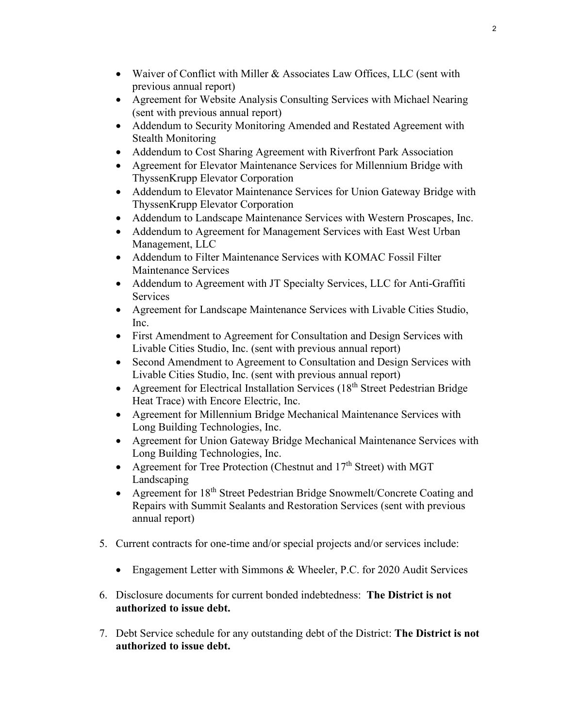- Waiver of Conflict with Miller & Associates Law Offices, LLC (sent with previous annual report)
- Agreement for Website Analysis Consulting Services with Michael Nearing (sent with previous annual report)
- Addendum to Security Monitoring Amended and Restated Agreement with Stealth Monitoring
- Addendum to Cost Sharing Agreement with Riverfront Park Association
- Agreement for Elevator Maintenance Services for Millennium Bridge with ThyssenKrupp Elevator Corporation
- Addendum to Elevator Maintenance Services for Union Gateway Bridge with ThyssenKrupp Elevator Corporation
- Addendum to Landscape Maintenance Services with Western Proscapes, Inc.
- Addendum to Agreement for Management Services with East West Urban Management, LLC
- Addendum to Filter Maintenance Services with KOMAC Fossil Filter Maintenance Services
- Addendum to Agreement with JT Specialty Services, LLC for Anti-Graffiti Services
- Agreement for Landscape Maintenance Services with Livable Cities Studio, Inc.
- First Amendment to Agreement for Consultation and Design Services with Livable Cities Studio, Inc. (sent with previous annual report)
- Second Amendment to Agreement to Consultation and Design Services with Livable Cities Studio, Inc. (sent with previous annual report)
- Agreement for Electrical Installation Services  $(18<sup>th</sup> Street Pedestrian Bridge)$ Heat Trace) with Encore Electric, Inc.
- Agreement for Millennium Bridge Mechanical Maintenance Services with Long Building Technologies, Inc.
- Agreement for Union Gateway Bridge Mechanical Maintenance Services with Long Building Technologies, Inc.
- Agreement for Tree Protection (Chestnut and  $17<sup>th</sup>$  Street) with MGT Landscaping
- Agreement for  $18<sup>th</sup>$  Street Pedestrian Bridge Snowmelt/Concrete Coating and Repairs with Summit Sealants and Restoration Services (sent with previous annual report)
- 5. Current contracts for one-time and/or special projects and/or services include:
	- Engagement Letter with Simmons & Wheeler, P.C. for 2020 Audit Services
- 6. Disclosure documents for current bonded indebtedness: **The District is not authorized to issue debt.**
- 7. Debt Service schedule for any outstanding debt of the District: **The District is not authorized to issue debt.**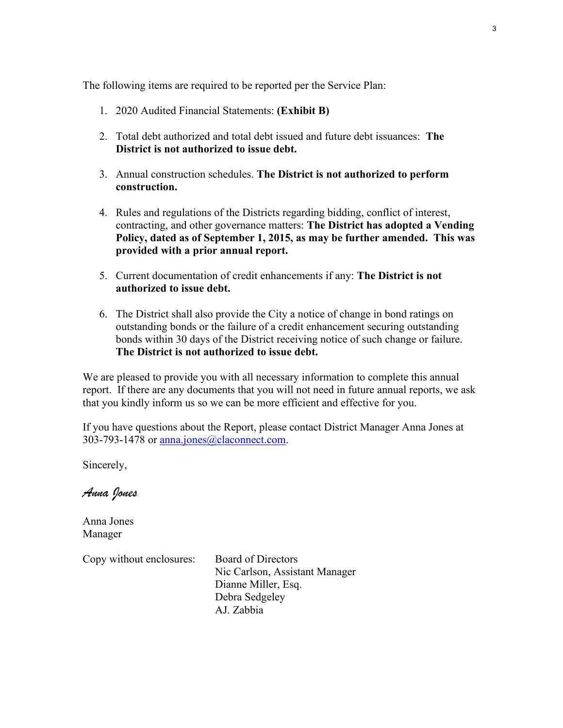The following items are required to be reported per the Service Plan:

- 1. [2020 Audited Financial Statements:](#page-9-0) **(Exhibit B)**
- 2. Total debt authorized and total debt issued and future debt issuances: **The District is not authorized to issue debt.**
- 3. Annual construction schedules. **The District is not authorized to perform construction.**
- 4. Rules and regulations of the Districts regarding bidding, conflict of interest, contracting, and other governance matters: **The District has adopted a Vending Policy, dated as of September 1, 2015, as may be further amended. This was provided with a prior annual report.**
- 5. Current documentation of credit enhancements if any: **The District is not authorized to issue debt.**
- 6. The District shall also provide the City a notice of change in bond ratings on outstanding bonds or the failure of a credit enhancement securing outstanding bonds within 30 days of the District receiving notice of such change or failure. **The District is not authorized to issue debt.**

We are pleased to provide you with all necessary information to complete this annual report. If there are any documents that you will not need in future annual reports, we ask that you kindly inform us so we can be more efficient and effective for you.

If you have questions about the Report, please contact District Manager Anna Jones at 303-793-1478 or [anna.jones@claconnect.com.](mailto:anna.jones@claconnect.com)

Sincerely,

*Anna Jones*

Anna Jones Manager

Copy without enclosures: Board of Directors

 Nic Carlson, Assistant Manager Dianne Miller, Esq. Debra Sedgeley AJ. Zabbia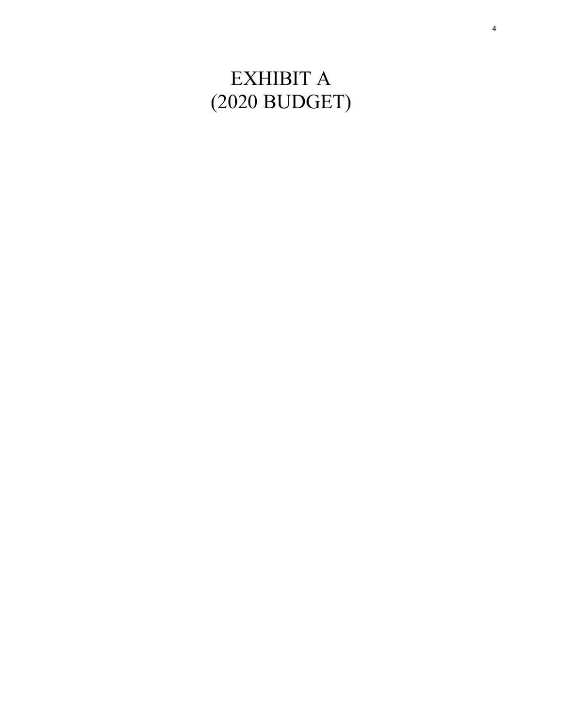# EXHIBIT A (2020 BUDGET)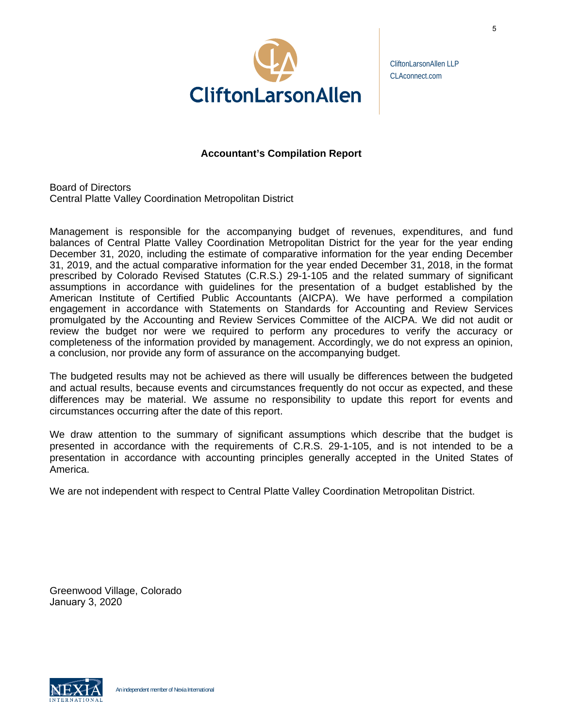<span id="page-4-0"></span>

CliftonLarsonAllen LLP CLAconnect.com

# **Accountant's Compilation Report**

Board of Directors Central Platte Valley Coordination Metropolitan District

Management is responsible for the accompanying budget of revenues, expenditures, and fund balances of Central Platte Valley Coordination Metropolitan District for the year for the year ending December 31, 2020, including the estimate of comparative information for the year ending December 31, 2019, and the actual comparative information for the year ended December 31, 2018, in the format prescribed by Colorado Revised Statutes (C.R.S.) 29-1-105 and the related summary of significant assumptions in accordance with guidelines for the presentation of a budget established by the American Institute of Certified Public Accountants (AICPA). We have performed a compilation engagement in accordance with Statements on Standards for Accounting and Review Services promulgated by the Accounting and Review Services Committee of the AICPA. We did not audit or review the budget nor were we required to perform any procedures to verify the accuracy or completeness of the information provided by management. Accordingly, we do not express an opinion, a conclusion, nor provide any form of assurance on the accompanying budget.

The budgeted results may not be achieved as there will usually be differences between the budgeted and actual results, because events and circumstances frequently do not occur as expected, and these differences may be material. We assume no responsibility to update this report for events and circumstances occurring after the date of this report.

We draw attention to the summary of significant assumptions which describe that the budget is presented in accordance with the requirements of C.R.S. 29-1-105, and is not intended to be a presentation in accordance with accounting principles generally accepted in the United States of America.

We are not independent with respect to Central Platte Valley Coordination Metropolitan District.

Greenwood Village, Colorado January 3, 2020

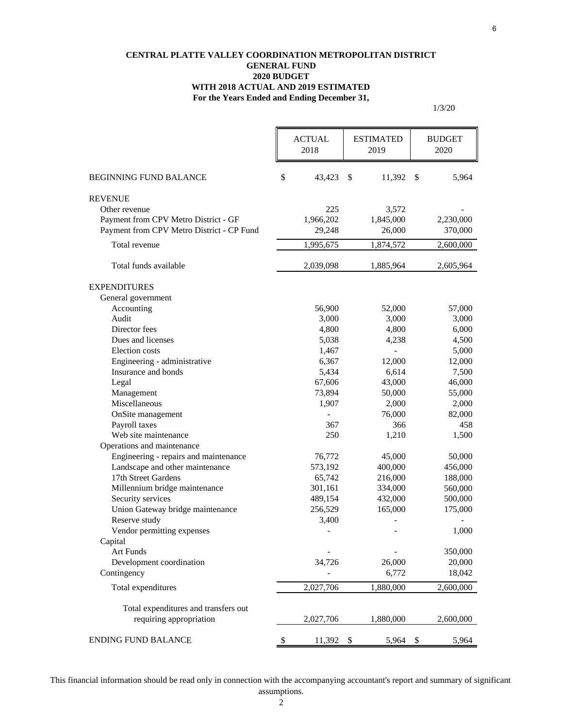#### **CENTRAL PLATTE VALLEY COORDINATION METROPOLITAN DISTRICT GENERAL FUND 2020 BUDGET WITH 2018 ACTUAL AND 2019 ESTIMATED For the Years Ended and Ending December 31,**

1/3/20

|                                                                                   | <b>ACTUAL</b><br>2018 | <b>ESTIMATED</b><br>2019 |                     | <b>BUDGET</b><br>2020 |                      |
|-----------------------------------------------------------------------------------|-----------------------|--------------------------|---------------------|-----------------------|----------------------|
| <b>BEGINNING FUND BALANCE</b>                                                     | \$<br>43,423          | <sup>\$</sup>            | 11,392              | \$                    | 5,964                |
| <b>REVENUE</b>                                                                    |                       |                          |                     |                       |                      |
| Other revenue                                                                     | 225                   |                          | 3,572               |                       |                      |
| Payment from CPV Metro District - GF<br>Payment from CPV Metro District - CP Fund | 1,966,202<br>29,248   |                          | 1,845,000<br>26,000 |                       | 2,230,000<br>370,000 |
| Total revenue                                                                     | 1,995,675             |                          | 1,874,572           |                       | 2,600,000            |
| Total funds available                                                             | 2,039,098             |                          | 1,885,964           |                       | 2,605,964            |
| <b>EXPENDITURES</b>                                                               |                       |                          |                     |                       |                      |
| General government                                                                |                       |                          |                     |                       |                      |
| Accounting                                                                        | 56,900                |                          | 52,000              |                       | 57,000               |
| Audit                                                                             | 3,000                 |                          | 3,000               |                       | 3,000                |
| Director fees                                                                     | 4,800                 |                          | 4,800               |                       | 6,000                |
| Dues and licenses                                                                 | 5,038                 |                          | 4,238               |                       | 4,500                |
| Election costs                                                                    | 1,467                 |                          | $\overline{a}$      |                       | 5,000                |
| Engineering - administrative                                                      | 6,367                 |                          | 12,000              |                       | 12,000               |
| Insurance and bonds                                                               | 5,434                 |                          | 6,614               |                       | 7,500                |
| Legal                                                                             | 67,606                |                          | 43,000              |                       | 46,000               |
| Management                                                                        | 73,894                |                          | 50,000              |                       | 55,000               |
| Miscellaneous                                                                     | 1,907                 |                          | 2,000               |                       | 2,000                |
| OnSite management                                                                 |                       |                          | 76,000              |                       | 82,000               |
| Payroll taxes                                                                     | 367                   |                          | 366                 |                       | 458                  |
| Web site maintenance                                                              | 250                   |                          | 1,210               |                       | 1,500                |
| Operations and maintenance                                                        |                       |                          |                     |                       |                      |
| Engineering - repairs and maintenance                                             | 76,772                |                          | 45,000              |                       | 50,000               |
| Landscape and other maintenance                                                   | 573,192               |                          | 400,000             |                       | 456,000              |
| 17th Street Gardens                                                               | 65,742                |                          | 216,000             |                       | 188,000              |
| Millennium bridge maintenance                                                     | 301,161               |                          | 334,000             |                       | 560,000              |
| Security services                                                                 | 489,154               |                          | 432,000             |                       | 500,000              |
| Union Gateway bridge maintenance                                                  | 256,529               |                          | 165,000             |                       | 175,000              |
| Reserve study                                                                     | 3,400                 |                          |                     |                       |                      |
| Vendor permitting expenses                                                        |                       |                          | -                   |                       | 1,000                |
| Capital                                                                           |                       |                          |                     |                       |                      |
| <b>Art Funds</b>                                                                  |                       |                          |                     |                       | 350,000              |
| Development coordination                                                          | 34,726                |                          | 26,000              |                       | 20,000               |
| Contingency                                                                       |                       |                          | 6,772               |                       | 18,042               |
| Total expenditures                                                                | 2,027,706             |                          | 1,880,000           |                       | 2,600,000            |
| Total expenditures and transfers out                                              |                       |                          |                     |                       |                      |
| requiring appropriation                                                           | 2,027,706             |                          | 1,880,000           |                       | 2,600,000            |
| <b>ENDING FUND BALANCE</b>                                                        | \$<br>11,392          | - \$                     | 5,964               | \$                    | 5,964                |

This financial information should be read only in connection with the accompanying accountant's report and summary of significant assumptions.

6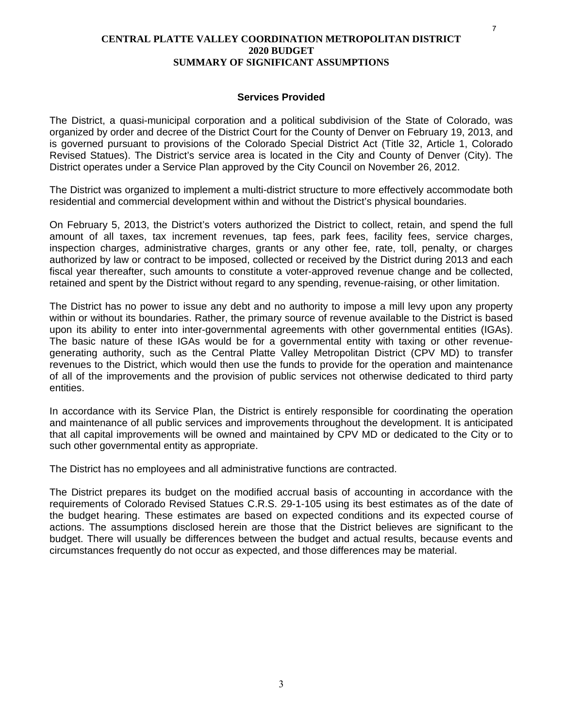#### **CENTRAL PLATTE VALLEY COORDINATION METROPOLITAN DISTRICT 2020 BUDGET SUMMARY OF SIGNIFICANT ASSUMPTIONS**

#### **Services Provided**

The District, a quasi-municipal corporation and a political subdivision of the State of Colorado, was organized by order and decree of the District Court for the County of Denver on February 19, 2013, and is governed pursuant to provisions of the Colorado Special District Act (Title 32, Article 1, Colorado Revised Statues). The District's service area is located in the City and County of Denver (City). The District operates under a Service Plan approved by the City Council on November 26, 2012.

The District was organized to implement a multi-district structure to more effectively accommodate both residential and commercial development within and without the District's physical boundaries.

On February 5, 2013, the District's voters authorized the District to collect, retain, and spend the full amount of all taxes, tax increment revenues, tap fees, park fees, facility fees, service charges, inspection charges, administrative charges, grants or any other fee, rate, toll, penalty, or charges authorized by law or contract to be imposed, collected or received by the District during 2013 and each fiscal year thereafter, such amounts to constitute a voter-approved revenue change and be collected, retained and spent by the District without regard to any spending, revenue-raising, or other limitation.

The District has no power to issue any debt and no authority to impose a mill levy upon any property within or without its boundaries. Rather, the primary source of revenue available to the District is based upon its ability to enter into inter-governmental agreements with other governmental entities (IGAs). The basic nature of these IGAs would be for a governmental entity with taxing or other revenuegenerating authority, such as the Central Platte Valley Metropolitan District (CPV MD) to transfer revenues to the District, which would then use the funds to provide for the operation and maintenance of all of the improvements and the provision of public services not otherwise dedicated to third party entities.

In accordance with its Service Plan, the District is entirely responsible for coordinating the operation and maintenance of all public services and improvements throughout the development. It is anticipated that all capital improvements will be owned and maintained by CPV MD or dedicated to the City or to such other governmental entity as appropriate.

The District has no employees and all administrative functions are contracted.

The District prepares its budget on the modified accrual basis of accounting in accordance with the requirements of Colorado Revised Statues C.R.S. 29-1-105 using its best estimates as of the date of the budget hearing. These estimates are based on expected conditions and its expected course of actions. The assumptions disclosed herein are those that the District believes are significant to the budget. There will usually be differences between the budget and actual results, because events and circumstances frequently do not occur as expected, and those differences may be material.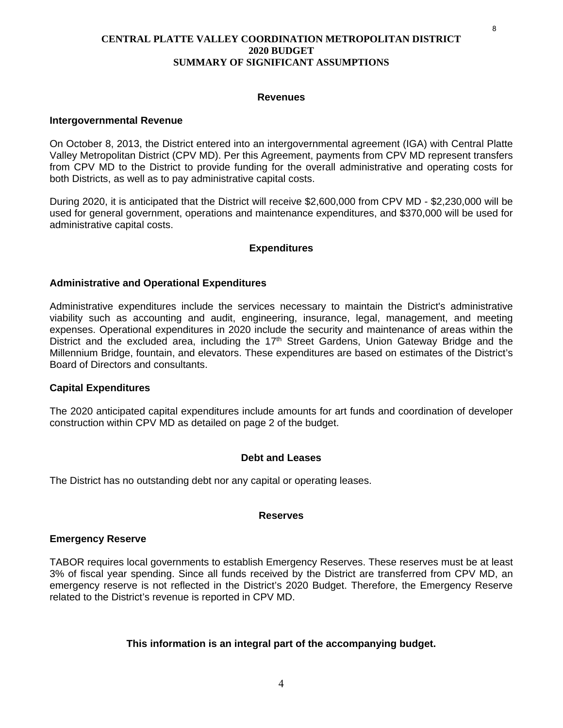### **CENTRAL PLATTE VALLEY COORDINATION METROPOLITAN DISTRICT 2020 BUDGET SUMMARY OF SIGNIFICANT ASSUMPTIONS**

#### **Revenues**

#### **Intergovernmental Revenue**

On October 8, 2013, the District entered into an intergovernmental agreement (IGA) with Central Platte Valley Metropolitan District (CPV MD). Per this Agreement, payments from CPV MD represent transfers from CPV MD to the District to provide funding for the overall administrative and operating costs for both Districts, as well as to pay administrative capital costs.

During 2020, it is anticipated that the District will receive \$2,600,000 from CPV MD - \$2,230,000 will be used for general government, operations and maintenance expenditures, and \$370,000 will be used for administrative capital costs.

#### **Expenditures**

# **Administrative and Operational Expenditures**

Administrative expenditures include the services necessary to maintain the District's administrative viability such as accounting and audit, engineering, insurance, legal, management, and meeting expenses. Operational expenditures in 2020 include the security and maintenance of areas within the District and the excluded area, including the  $17<sup>th</sup>$  Street Gardens, Union Gateway Bridge and the Millennium Bridge, fountain, and elevators. These expenditures are based on estimates of the District's Board of Directors and consultants.

#### **Capital Expenditures**

The 2020 anticipated capital expenditures include amounts for art funds and coordination of developer construction within CPV MD as detailed on page 2 of the budget.

#### **Debt and Leases**

The District has no outstanding debt nor any capital or operating leases.

#### **Reserves**

#### **Emergency Reserve**

TABOR requires local governments to establish Emergency Reserves. These reserves must be at least 3% of fiscal year spending. Since all funds received by the District are transferred from CPV MD, an emergency reserve is not reflected in the District's 2020 Budget. Therefore, the Emergency Reserve related to the District's revenue is reported in CPV MD.

# **This information is an integral part of the accompanying budget.**

8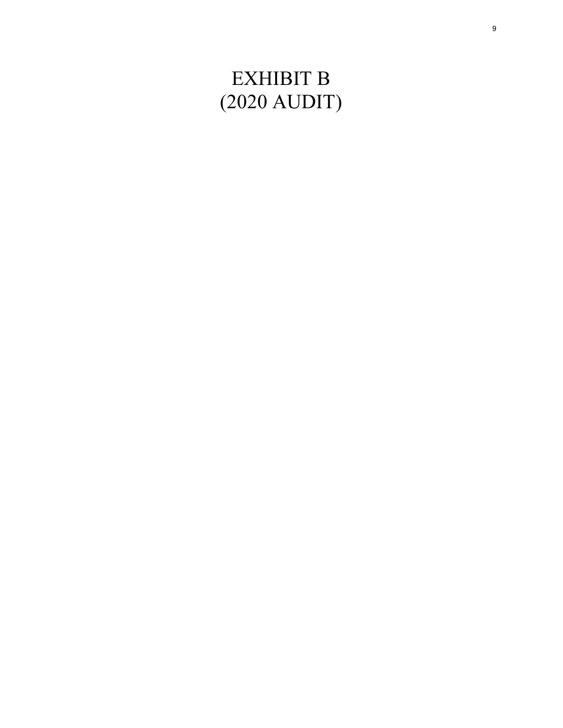# EXHIBIT B (2020 AUDIT)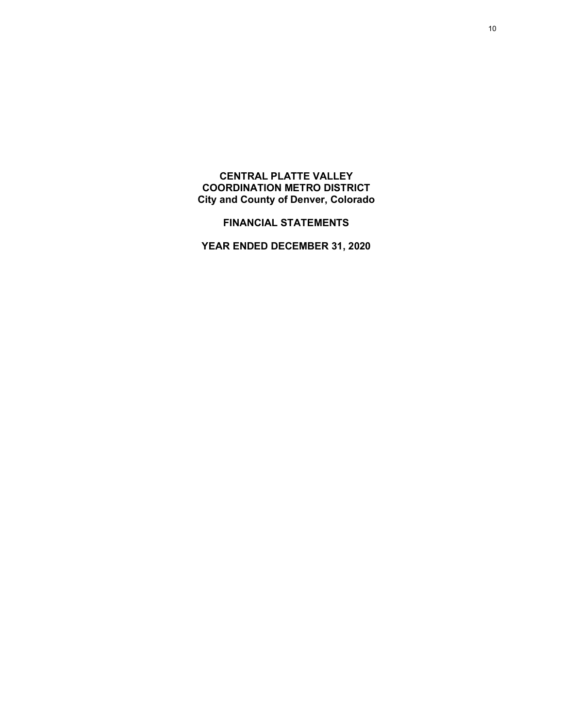# <span id="page-9-0"></span>**CENTRAL PLATTE VALLEY COORDINATION METRO DISTRICT City and County of Denver, Colorado**

**FINANCIAL STATEMENTS**

**YEAR ENDED DECEMBER 31, 2020**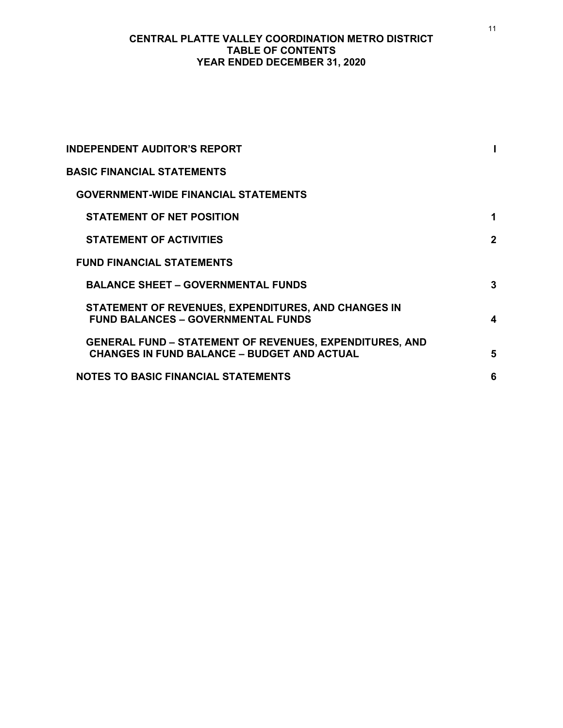# **CENTRAL PLATTE VALLEY COORDINATION METRO DISTRICT TABLE OF CONTENTS YEAR ENDED DECEMBER 31, 2020**

| <b>INDEPENDENT AUDITOR'S REPORT</b>                                                                                  |             |
|----------------------------------------------------------------------------------------------------------------------|-------------|
| <b>BASIC FINANCIAL STATEMENTS</b>                                                                                    |             |
| <b>GOVERNMENT-WIDE FINANCIAL STATEMENTS</b>                                                                          |             |
| <b>STATEMENT OF NET POSITION</b>                                                                                     | 1           |
| <b>STATEMENT OF ACTIVITIES</b>                                                                                       | $\mathbf 2$ |
| <b>FUND FINANCIAL STATEMENTS</b>                                                                                     |             |
| <b>BALANCE SHEET - GOVERNMENTAL FUNDS</b>                                                                            | 3           |
| STATEMENT OF REVENUES, EXPENDITURES, AND CHANGES IN<br><b>FUND BALANCES - GOVERNMENTAL FUNDS</b>                     | 4           |
| <b>GENERAL FUND - STATEMENT OF REVENUES, EXPENDITURES, AND</b><br><b>CHANGES IN FUND BALANCE - BUDGET AND ACTUAL</b> | 5           |
| <b>NOTES TO BASIC FINANCIAL STATEMENTS</b>                                                                           | 6           |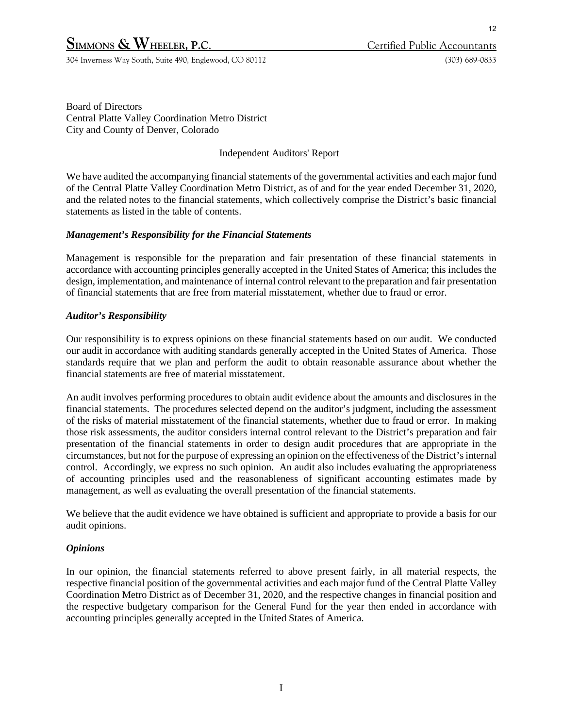# **SIMMONS & WHEELER, P.C.** Certified Public Accountants

304 Inverness Way South, Suite 490, Englewood, CO 80112 (303) 689-0833

Board of Directors Central Platte Valley Coordination Metro District City and County of Denver, Colorado

# Independent Auditors' Report

We have audited the accompanying financial statements of the governmental activities and each major fund of the Central Platte Valley Coordination Metro District, as of and for the year ended December 31, 2020, and the related notes to the financial statements, which collectively comprise the District's basic financial statements as listed in the table of contents.

# *Management's Responsibility for the Financial Statements*

Management is responsible for the preparation and fair presentation of these financial statements in accordance with accounting principles generally accepted in the United States of America; this includes the design, implementation, and maintenance of internal control relevant to the preparation and fair presentation of financial statements that are free from material misstatement, whether due to fraud or error.

# *Auditor's Responsibility*

Our responsibility is to express opinions on these financial statements based on our audit. We conducted our audit in accordance with auditing standards generally accepted in the United States of America. Those standards require that we plan and perform the audit to obtain reasonable assurance about whether the financial statements are free of material misstatement.

An audit involves performing procedures to obtain audit evidence about the amounts and disclosures in the financial statements. The procedures selected depend on the auditor's judgment, including the assessment of the risks of material misstatement of the financial statements, whether due to fraud or error. In making those risk assessments, the auditor considers internal control relevant to the District's preparation and fair presentation of the financial statements in order to design audit procedures that are appropriate in the circumstances, but not for the purpose of expressing an opinion on the effectiveness of the District's internal control. Accordingly, we express no such opinion. An audit also includes evaluating the appropriateness of accounting principles used and the reasonableness of significant accounting estimates made by management, as well as evaluating the overall presentation of the financial statements.

We believe that the audit evidence we have obtained is sufficient and appropriate to provide a basis for our audit opinions.

# *Opinions*

In our opinion, the financial statements referred to above present fairly, in all material respects, the respective financial position of the governmental activities and each major fund of the Central Platte Valley Coordination Metro District as of December 31, 2020, and the respective changes in financial position and the respective budgetary comparison for the General Fund for the year then ended in accordance with accounting principles generally accepted in the United States of America.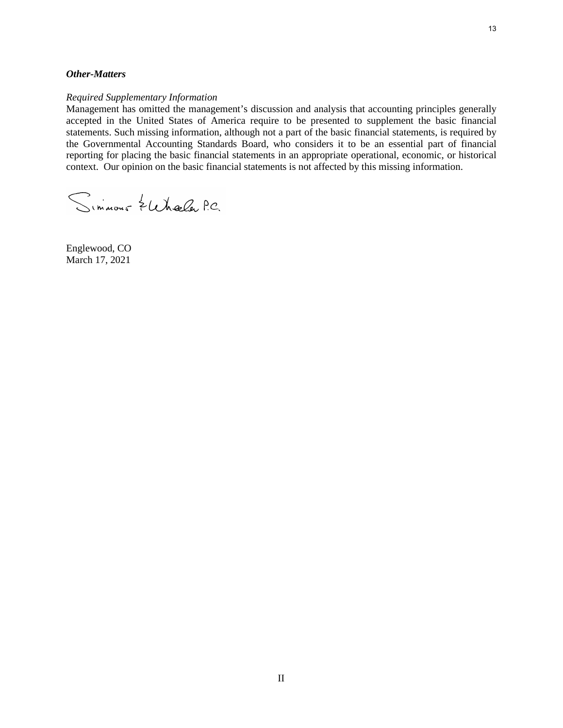#### *Other-Matters*

#### *Required Supplementary Information*

Management has omitted the management's discussion and analysis that accounting principles generally accepted in the United States of America require to be presented to supplement the basic financial statements. Such missing information, although not a part of the basic financial statements, is required by the Governmental Accounting Standards Board, who considers it to be an essential part of financial reporting for placing the basic financial statements in an appropriate operational, economic, or historical context. Our opinion on the basic financial statements is not affected by this missing information.

Simmons Zuhala P.C.

Englewood, CO March 17, 2021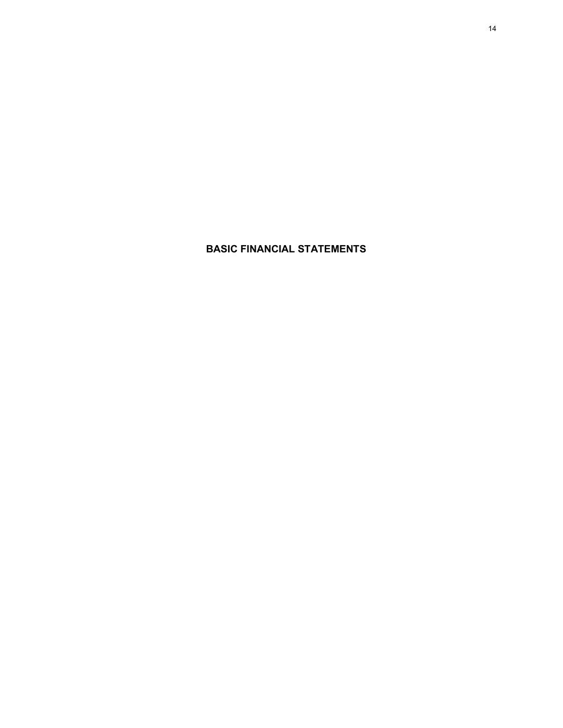**BASIC FINANCIAL STATEMENTS**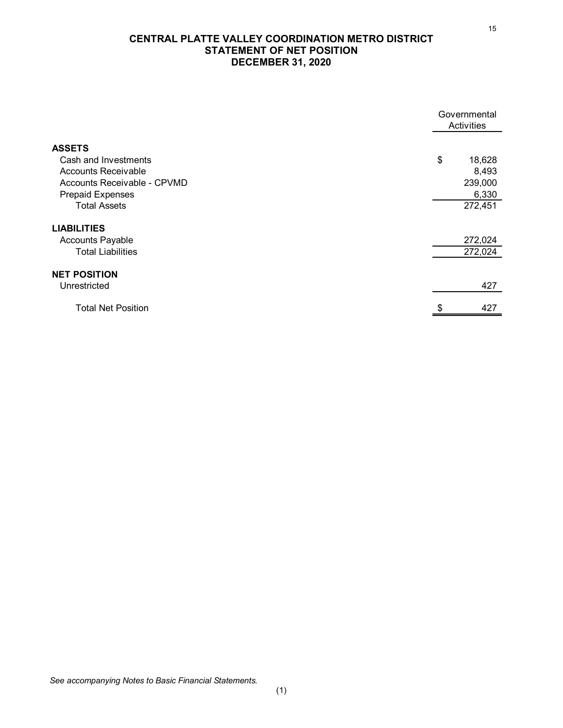# **CENTRAL PLATTE VALLEY COORDINATION METRO DISTRICT STATEMENT OF NET POSITION DECEMBER 31, 2020**

|                             | Governmental<br>Activities |         |
|-----------------------------|----------------------------|---------|
|                             |                            |         |
| <b>ASSETS</b>               |                            |         |
| Cash and Investments        | \$                         | 18,628  |
| <b>Accounts Receivable</b>  |                            | 8,493   |
| Accounts Receivable - CPVMD |                            | 239,000 |
| <b>Prepaid Expenses</b>     |                            | 6,330   |
| <b>Total Assets</b>         |                            | 272,451 |
| <b>LIABILITIES</b>          |                            |         |
| <b>Accounts Payable</b>     |                            | 272,024 |
| <b>Total Liabilities</b>    |                            | 272,024 |
| <b>NET POSITION</b>         |                            |         |
| Unrestricted                |                            | 427     |
| <b>Total Net Position</b>   | \$                         | 427     |

15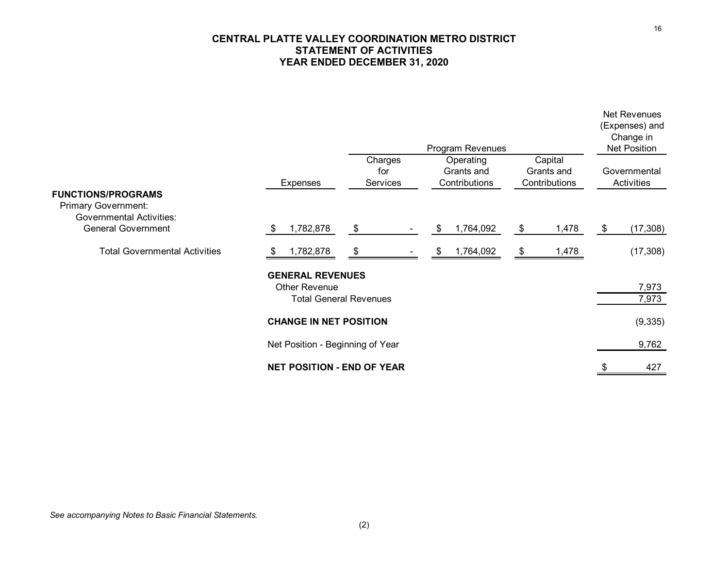# **CENTRAL PLATTE VALLEY COORDINATION METRO DISTRICT STATEMENT OF ACTIVITIES YEAR ENDED DECEMBER 31, 2020**

|                                                                                            |                                                 |                               | Program Revenues                         |                                        | <b>Net Revenues</b><br>(Expenses) and<br>Change in<br><b>Net Position</b> |                |
|--------------------------------------------------------------------------------------------|-------------------------------------------------|-------------------------------|------------------------------------------|----------------------------------------|---------------------------------------------------------------------------|----------------|
| <b>FUNCTIONS/PROGRAMS</b>                                                                  | Expenses                                        | Charges<br>for<br>Services    | Operating<br>Grants and<br>Contributions | Capital<br>Grants and<br>Contributions | Governmental<br>Activities                                                |                |
| <b>Primary Government:</b><br><b>Governmental Activities:</b><br><b>General Government</b> | 1,782,878<br>\$                                 | \$                            | 1,764,092<br>\$                          | 1,478<br>\$                            | (17, 308)<br>\$                                                           |                |
| <b>Total Governmental Activities</b>                                                       | 1,782,878<br>æ,                                 | \$                            | 1,764,092<br>\$                          | 1,478<br>-\$                           | (17, 308)                                                                 |                |
|                                                                                            | <b>GENERAL REVENUES</b><br><b>Other Revenue</b> | <b>Total General Revenues</b> |                                          |                                        |                                                                           | 7,973<br>7,973 |
|                                                                                            | <b>CHANGE IN NET POSITION</b>                   |                               |                                          |                                        |                                                                           | (9, 335)       |
|                                                                                            | Net Position - Beginning of Year                |                               |                                          |                                        |                                                                           | 9,762          |
|                                                                                            | <b>NET POSITION - END OF YEAR</b>               |                               |                                          |                                        |                                                                           | 427            |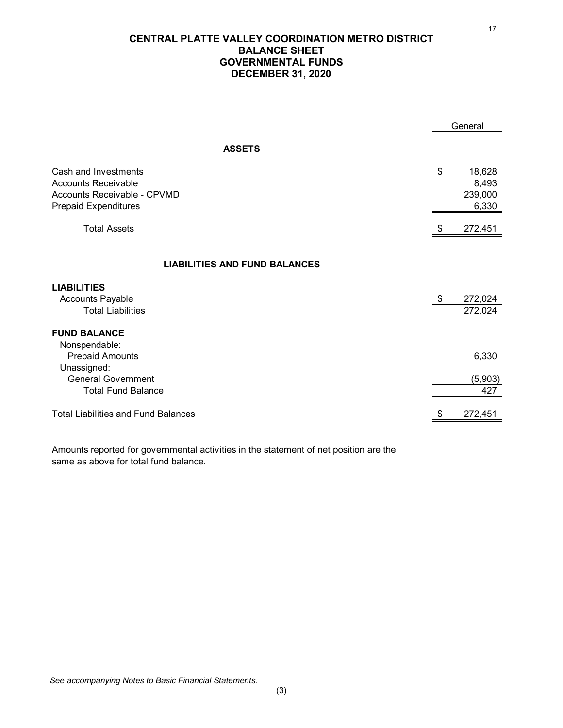# **CENTRAL PLATTE VALLEY COORDINATION METRO DISTRICT BALANCE SHEET GOVERNMENTAL FUNDS DECEMBER 31, 2020**

|                                                                                                                         | General                                   |
|-------------------------------------------------------------------------------------------------------------------------|-------------------------------------------|
| <b>ASSETS</b>                                                                                                           |                                           |
| Cash and Investments<br><b>Accounts Receivable</b><br><b>Accounts Receivable - CPVMD</b><br><b>Prepaid Expenditures</b> | \$<br>18,628<br>8,493<br>239,000<br>6,330 |
| <b>Total Assets</b>                                                                                                     | \$<br>272,451                             |
| <b>LIABILITIES AND FUND BALANCES</b>                                                                                    |                                           |
| <b>LIABILITIES</b><br><b>Accounts Payable</b><br><b>Total Liabilities</b>                                               | \$<br>272,024<br>272,024                  |
| <b>FUND BALANCE</b><br>Nonspendable:<br><b>Prepaid Amounts</b>                                                          | 6,330                                     |
| Unassigned:<br><b>General Government</b><br><b>Total Fund Balance</b>                                                   | (5,903)<br>427                            |
| Total Liabilities and Fund Balances                                                                                     | 272,451                                   |

Amounts reported for governmental activities in the statement of net position are the same as above for total fund balance.

17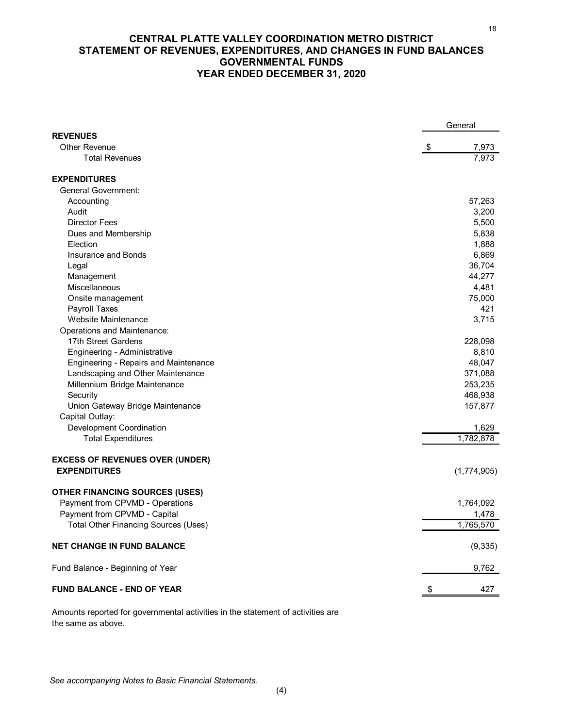# **CENTRAL PLATTE VALLEY COORDINATION METRO DISTRICT STATEMENT OF REVENUES, EXPENDITURES, AND CHANGES IN FUND BALANCES GOVERNMENTAL FUNDS YEAR ENDED DECEMBER 31, 2020**

|                                              | General |             |
|----------------------------------------------|---------|-------------|
| <b>REVENUES</b>                              |         |             |
| <b>Other Revenue</b>                         | \$      | 7,973       |
| <b>Total Revenues</b>                        |         | 7,973       |
| <b>EXPENDITURES</b>                          |         |             |
| <b>General Government:</b>                   |         |             |
| Accounting                                   |         | 57,263      |
| Audit                                        |         | 3,200       |
| <b>Director Fees</b>                         |         | 5,500       |
| Dues and Membership                          |         | 5,838       |
| Election                                     |         | 1,888       |
| <b>Insurance and Bonds</b>                   |         | 6,869       |
| Legal                                        |         | 36,704      |
| Management                                   |         | 44,277      |
| Miscellaneous                                |         | 4,481       |
| Onsite management                            |         | 75,000      |
| Payroll Taxes                                |         | 421         |
| Website Maintenance                          |         | 3,715       |
| Operations and Maintenance:                  |         |             |
| 17th Street Gardens                          |         | 228,098     |
| Engineering - Administrative                 |         | 8,810       |
| <b>Engineering - Repairs and Maintenance</b> |         | 48,047      |
| Landscaping and Other Maintenance            |         | 371,088     |
| Millennium Bridge Maintenance                |         | 253,235     |
| Security                                     |         | 468,938     |
| Union Gateway Bridge Maintenance             |         | 157,877     |
| Capital Outlay:                              |         |             |
| Development Coordination                     |         | 1,629       |
| <b>Total Expenditures</b>                    |         | 1,782,878   |
| <b>EXCESS OF REVENUES OVER (UNDER)</b>       |         |             |
| <b>EXPENDITURES</b>                          |         | (1,774,905) |
|                                              |         |             |
| <b>OTHER FINANCING SOURCES (USES)</b>        |         |             |
| Payment from CPVMD - Operations              |         | 1,764,092   |
| Payment from CPVMD - Capital                 |         | 1,478       |
| <b>Total Other Financing Sources (Uses)</b>  |         | 1,765,570   |
| <b>NET CHANGE IN FUND BALANCE</b>            |         | (9, 335)    |
| Fund Balance - Beginning of Year             |         | 9,762       |
| <b>FUND BALANCE - END OF YEAR</b>            |         | 427         |
|                                              |         |             |

Amounts reported for governmental activities in the statement of activities are the same as above.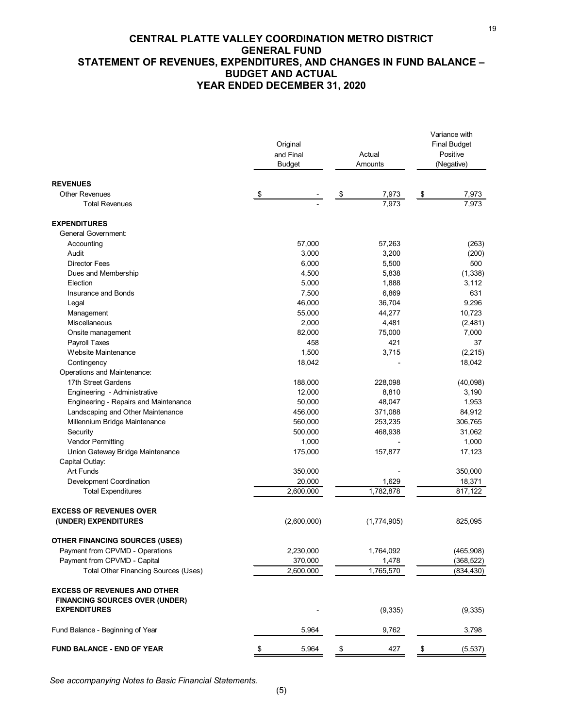# **CENTRAL PLATTE VALLEY COORDINATION METRO DISTRICT GENERAL FUND STATEMENT OF REVENUES, EXPENDITURES, AND CHANGES IN FUND BALANCE – BUDGET AND ACTUAL YEAR ENDED DECEMBER 31, 2020**

19

|                                                                                                     | Original<br>and Final<br><b>Budget</b> | Actual<br>Amounts | Variance with<br><b>Final Budget</b><br>Positive<br>(Negative) |
|-----------------------------------------------------------------------------------------------------|----------------------------------------|-------------------|----------------------------------------------------------------|
| <b>REVENUES</b>                                                                                     |                                        |                   |                                                                |
| <b>Other Revenues</b>                                                                               | \$                                     | 7,973<br>\$       | 7,973<br>\$                                                    |
| <b>Total Revenues</b>                                                                               |                                        | 7,973             | 7,973                                                          |
| <b>EXPENDITURES</b>                                                                                 |                                        |                   |                                                                |
| <b>General Government:</b>                                                                          |                                        |                   |                                                                |
| Accounting                                                                                          | 57,000                                 | 57,263            | (263)                                                          |
| Audit                                                                                               | 3,000                                  | 3,200             | (200)                                                          |
| <b>Director Fees</b>                                                                                | 6,000                                  | 5,500             | 500                                                            |
| Dues and Membership                                                                                 | 4,500                                  | 5,838             | (1, 338)                                                       |
| Election                                                                                            | 5,000                                  | 1,888             | 3,112                                                          |
| Insurance and Bonds                                                                                 | 7,500                                  | 6,869             | 631                                                            |
| Legal                                                                                               | 46,000                                 | 36,704            | 9,296                                                          |
| Management                                                                                          | 55,000                                 | 44,277            | 10,723                                                         |
| Miscellaneous                                                                                       | 2,000                                  | 4,481             | (2,481)                                                        |
| Onsite management                                                                                   | 82,000                                 | 75,000            | 7,000                                                          |
| Payroll Taxes                                                                                       | 458                                    | 421               | 37                                                             |
| Website Maintenance                                                                                 | 1,500                                  | 3,715             | (2, 215)                                                       |
| Contingency                                                                                         | 18,042                                 |                   | 18,042                                                         |
| Operations and Maintenance:                                                                         |                                        |                   |                                                                |
| 17th Street Gardens                                                                                 | 188,000                                | 228,098           | (40,098)                                                       |
| Engineering - Administrative                                                                        | 12,000                                 | 8,810             | 3,190                                                          |
| Engineering - Repairs and Maintenance                                                               | 50,000                                 | 48,047            | 1,953                                                          |
| Landscaping and Other Maintenance                                                                   | 456,000                                | 371,088           | 84,912                                                         |
| Millennium Bridge Maintenance                                                                       | 560,000                                | 253,235           | 306,765                                                        |
| Security                                                                                            | 500,000                                | 468,938           | 31,062                                                         |
| <b>Vendor Permitting</b>                                                                            | 1,000                                  |                   | 1,000                                                          |
| Union Gateway Bridge Maintenance                                                                    | 175,000                                | 157,877           | 17,123                                                         |
| Capital Outlay:                                                                                     |                                        |                   |                                                                |
| <b>Art Funds</b>                                                                                    | 350,000                                |                   | 350,000                                                        |
| Development Coordination                                                                            | 20,000                                 | 1,629             | 18,371                                                         |
| <b>Total Expenditures</b>                                                                           | 2,600,000                              | 1,782,878         | 817,122                                                        |
|                                                                                                     |                                        |                   |                                                                |
| <b>EXCESS OF REVENUES OVER</b>                                                                      |                                        |                   |                                                                |
| (UNDER) EXPENDITURES                                                                                | (2,600,000)                            | (1,774,905)       | 825,095                                                        |
| <b>OTHER FINANCING SOURCES (USES)</b>                                                               |                                        |                   |                                                                |
| Payment from CPVMD - Operations                                                                     | 2,230,000                              | 1,764,092         | (465,908)                                                      |
| Payment from CPVMD - Capital                                                                        | 370,000                                | 1,478             | (368, 522)                                                     |
| <b>Total Other Financing Sources (Uses)</b>                                                         | 2,600,000                              | 1,765,570         | (834, 430)                                                     |
| <b>EXCESS OF REVENUES AND OTHER</b><br><b>FINANCING SOURCES OVER (UNDER)</b><br><b>EXPENDITURES</b> |                                        | (9, 335)          | (9,335)                                                        |
| Fund Balance - Beginning of Year                                                                    | 5,964                                  | 9,762             | 3,798                                                          |
|                                                                                                     |                                        |                   |                                                                |
| <b>FUND BALANCE - END OF YEAR</b>                                                                   | \$<br>5,964                            | \$<br>427         | \$<br>(5, 537)                                                 |

*See accompanying Notes to Basic Financial Statements.*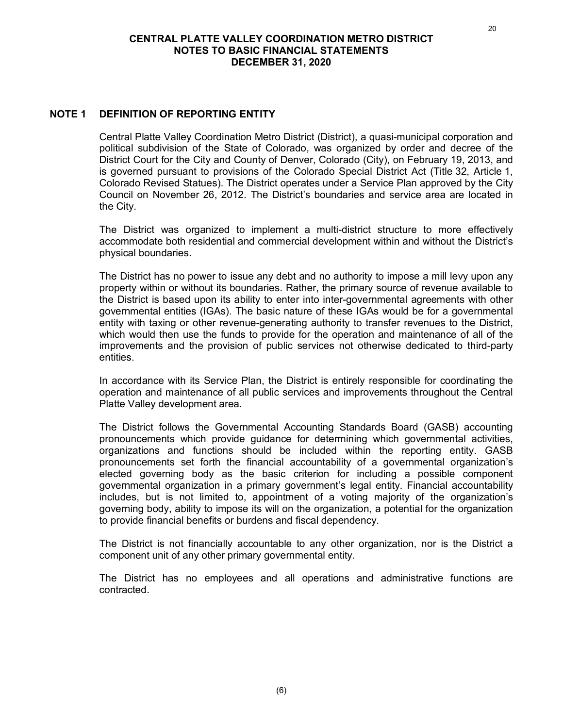# **NOTE 1 DEFINITION OF REPORTING ENTITY**

Central Platte Valley Coordination Metro District (District), a quasi-municipal corporation and political subdivision of the State of Colorado, was organized by order and decree of the District Court for the City and County of Denver, Colorado (City), on February 19, 2013, and is governed pursuant to provisions of the Colorado Special District Act (Title 32, Article 1, Colorado Revised Statues). The District operates under a Service Plan approved by the City Council on November 26, 2012. The District's boundaries and service area are located in the City.

The District was organized to implement a multi-district structure to more effectively accommodate both residential and commercial development within and without the District's physical boundaries.

The District has no power to issue any debt and no authority to impose a mill levy upon any property within or without its boundaries. Rather, the primary source of revenue available to the District is based upon its ability to enter into inter-governmental agreements with other governmental entities (IGAs). The basic nature of these IGAs would be for a governmental entity with taxing or other revenue-generating authority to transfer revenues to the District, which would then use the funds to provide for the operation and maintenance of all of the improvements and the provision of public services not otherwise dedicated to third-party entities.

In accordance with its Service Plan, the District is entirely responsible for coordinating the operation and maintenance of all public services and improvements throughout the Central Platte Valley development area.

The District follows the Governmental Accounting Standards Board (GASB) accounting pronouncements which provide guidance for determining which governmental activities, organizations and functions should be included within the reporting entity. GASB pronouncements set forth the financial accountability of a governmental organization's elected governing body as the basic criterion for including a possible component governmental organization in a primary government's legal entity. Financial accountability includes, but is not limited to, appointment of a voting majority of the organization's governing body, ability to impose its will on the organization, a potential for the organization to provide financial benefits or burdens and fiscal dependency.

The District is not financially accountable to any other organization, nor is the District a component unit of any other primary governmental entity.

The District has no employees and all operations and administrative functions are contracted.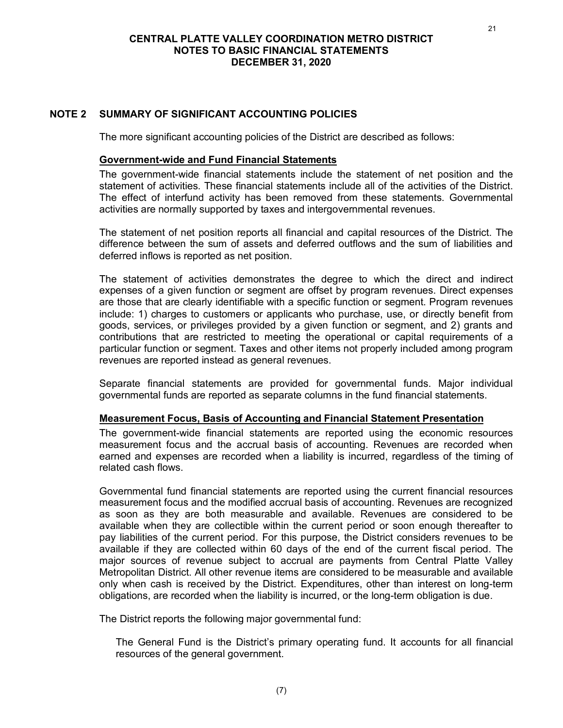# **NOTE 2 SUMMARY OF SIGNIFICANT ACCOUNTING POLICIES**

The more significant accounting policies of the District are described as follows:

#### **Government-wide and Fund Financial Statements**

The government-wide financial statements include the statement of net position and the statement of activities. These financial statements include all of the activities of the District. The effect of interfund activity has been removed from these statements. Governmental activities are normally supported by taxes and intergovernmental revenues.

The statement of net position reports all financial and capital resources of the District. The difference between the sum of assets and deferred outflows and the sum of liabilities and deferred inflows is reported as net position.

The statement of activities demonstrates the degree to which the direct and indirect expenses of a given function or segment are offset by program revenues. Direct expenses are those that are clearly identifiable with a specific function or segment. Program revenues include: 1) charges to customers or applicants who purchase, use, or directly benefit from goods, services, or privileges provided by a given function or segment, and 2) grants and contributions that are restricted to meeting the operational or capital requirements of a particular function or segment. Taxes and other items not properly included among program revenues are reported instead as general revenues.

Separate financial statements are provided for governmental funds. Major individual governmental funds are reported as separate columns in the fund financial statements.

#### **Measurement Focus, Basis of Accounting and Financial Statement Presentation**

The government-wide financial statements are reported using the economic resources measurement focus and the accrual basis of accounting. Revenues are recorded when earned and expenses are recorded when a liability is incurred, regardless of the timing of related cash flows.

Governmental fund financial statements are reported using the current financial resources measurement focus and the modified accrual basis of accounting. Revenues are recognized as soon as they are both measurable and available. Revenues are considered to be available when they are collectible within the current period or soon enough thereafter to pay liabilities of the current period. For this purpose, the District considers revenues to be available if they are collected within 60 days of the end of the current fiscal period. The major sources of revenue subject to accrual are payments from Central Platte Valley Metropolitan District. All other revenue items are considered to be measurable and available only when cash is received by the District. Expenditures, other than interest on long-term obligations, are recorded when the liability is incurred, or the long-term obligation is due.

The District reports the following major governmental fund:

The General Fund is the District's primary operating fund. It accounts for all financial resources of the general government.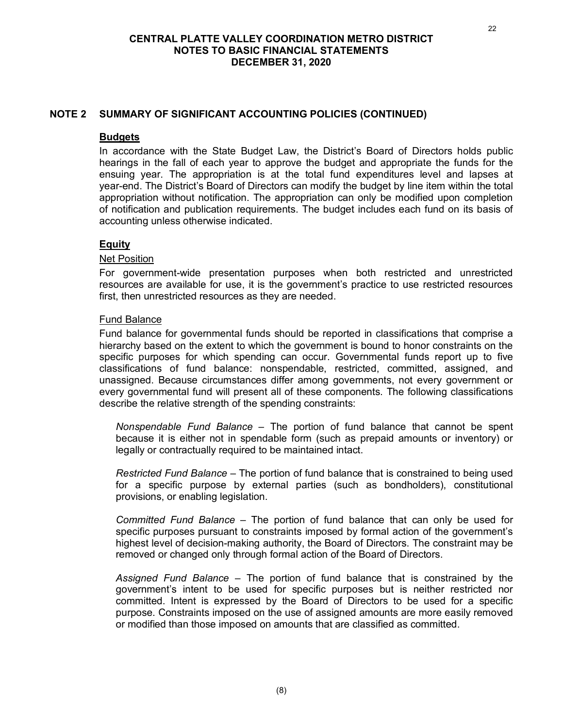# **NOTE 2 SUMMARY OF SIGNIFICANT ACCOUNTING POLICIES (CONTINUED)**

### **Budgets**

In accordance with the State Budget Law, the District's Board of Directors holds public hearings in the fall of each year to approve the budget and appropriate the funds for the ensuing year. The appropriation is at the total fund expenditures level and lapses at year-end. The District's Board of Directors can modify the budget by line item within the total appropriation without notification. The appropriation can only be modified upon completion of notification and publication requirements. The budget includes each fund on its basis of accounting unless otherwise indicated.

# **Equity**

#### Net Position

For government-wide presentation purposes when both restricted and unrestricted resources are available for use, it is the government's practice to use restricted resources first, then unrestricted resources as they are needed.

#### Fund Balance

Fund balance for governmental funds should be reported in classifications that comprise a hierarchy based on the extent to which the government is bound to honor constraints on the specific purposes for which spending can occur. Governmental funds report up to five classifications of fund balance: nonspendable, restricted, committed, assigned, and unassigned. Because circumstances differ among governments, not every government or every governmental fund will present all of these components. The following classifications describe the relative strength of the spending constraints:

*Nonspendable Fund Balance* – The portion of fund balance that cannot be spent because it is either not in spendable form (such as prepaid amounts or inventory) or legally or contractually required to be maintained intact.

*Restricted Fund Balance* – The portion of fund balance that is constrained to being used for a specific purpose by external parties (such as bondholders), constitutional provisions, or enabling legislation.

*Committed Fund Balance* – The portion of fund balance that can only be used for specific purposes pursuant to constraints imposed by formal action of the government's highest level of decision-making authority, the Board of Directors. The constraint may be removed or changed only through formal action of the Board of Directors.

*Assigned Fund Balance* – The portion of fund balance that is constrained by the government's intent to be used for specific purposes but is neither restricted nor committed. Intent is expressed by the Board of Directors to be used for a specific purpose. Constraints imposed on the use of assigned amounts are more easily removed or modified than those imposed on amounts that are classified as committed.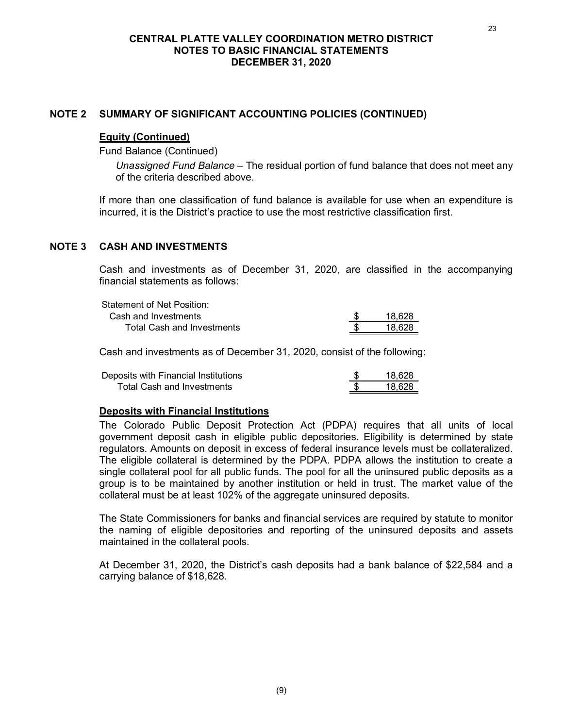### **NOTE 2 SUMMARY OF SIGNIFICANT ACCOUNTING POLICIES (CONTINUED)**

#### **Equity (Continued)**

Fund Balance (Continued)

*Unassigned Fund Balance* – The residual portion of fund balance that does not meet any of the criteria described above.

If more than one classification of fund balance is available for use when an expenditure is incurred, it is the District's practice to use the most restrictive classification first.

# **NOTE 3 CASH AND INVESTMENTS**

Cash and investments as of December 31, 2020, are classified in the accompanying financial statements as follows:

| Statement of Net Position:        |        |
|-----------------------------------|--------|
| Cash and Investments              | 18.628 |
| <b>Total Cash and Investments</b> | 18.628 |

Cash and investments as of December 31, 2020, consist of the following:

| Deposits with Financial Institutions | 18.628 |
|--------------------------------------|--------|
| <b>Total Cash and Investments</b>    | 18.628 |

#### **Deposits with Financial Institutions**

The Colorado Public Deposit Protection Act (PDPA) requires that all units of local government deposit cash in eligible public depositories. Eligibility is determined by state regulators. Amounts on deposit in excess of federal insurance levels must be collateralized. The eligible collateral is determined by the PDPA. PDPA allows the institution to create a single collateral pool for all public funds. The pool for all the uninsured public deposits as a group is to be maintained by another institution or held in trust. The market value of the collateral must be at least 102% of the aggregate uninsured deposits.

The State Commissioners for banks and financial services are required by statute to monitor the naming of eligible depositories and reporting of the uninsured deposits and assets maintained in the collateral pools.

At December 31, 2020, the District's cash deposits had a bank balance of \$22,584 and a carrying balance of \$18,628.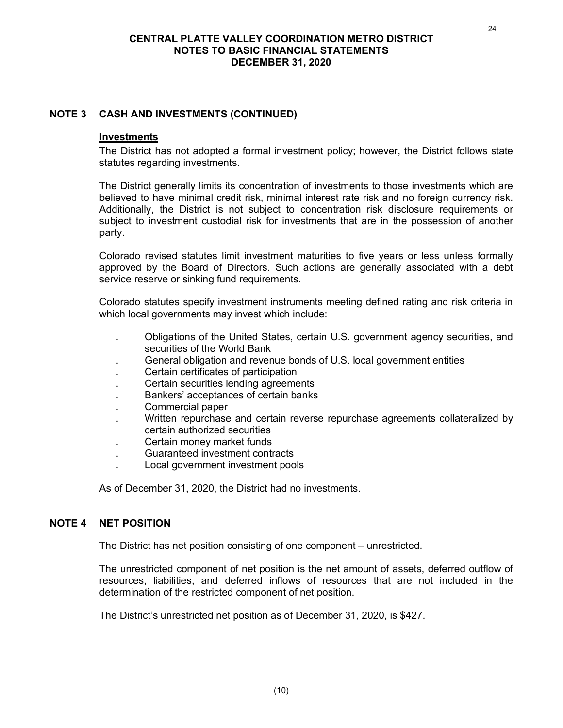# **NOTE 3 CASH AND INVESTMENTS (CONTINUED)**

### **Investments**

The District has not adopted a formal investment policy; however, the District follows state statutes regarding investments.

The District generally limits its concentration of investments to those investments which are believed to have minimal credit risk, minimal interest rate risk and no foreign currency risk. Additionally, the District is not subject to concentration risk disclosure requirements or subject to investment custodial risk for investments that are in the possession of another party.

Colorado revised statutes limit investment maturities to five years or less unless formally approved by the Board of Directors. Such actions are generally associated with a debt service reserve or sinking fund requirements.

Colorado statutes specify investment instruments meeting defined rating and risk criteria in which local governments may invest which include:

- . Obligations of the United States, certain U.S. government agency securities, and securities of the World Bank
- . General obligation and revenue bonds of U.S. local government entities
- . Certain certificates of participation
- . Certain securities lending agreements
- . Bankers' acceptances of certain banks
- . Commercial paper
- . Written repurchase and certain reverse repurchase agreements collateralized by certain authorized securities
- . Certain money market funds
- . Guaranteed investment contracts
- . Local government investment pools

As of December 31, 2020, the District had no investments.

# **NOTE 4 NET POSITION**

The District has net position consisting of one component – unrestricted.

The unrestricted component of net position is the net amount of assets, deferred outflow of resources, liabilities, and deferred inflows of resources that are not included in the determination of the restricted component of net position.

The District's unrestricted net position as of December 31, 2020, is \$427.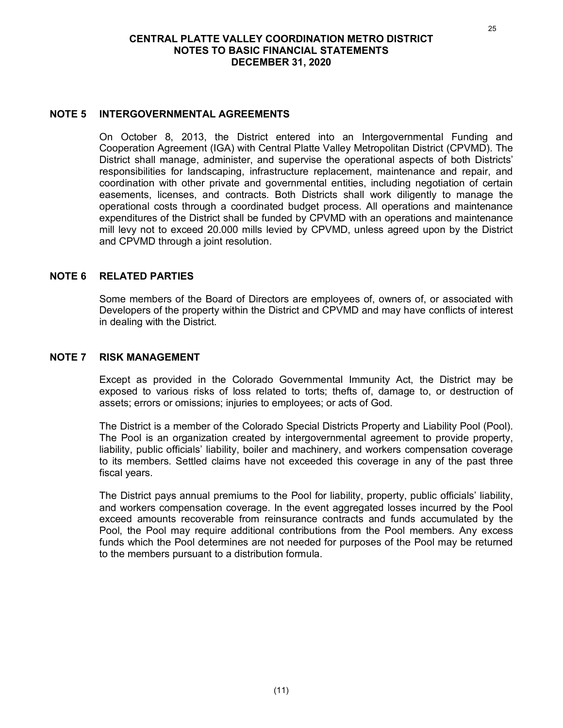#### **NOTE 5 INTERGOVERNMENTAL AGREEMENTS**

On October 8, 2013, the District entered into an Intergovernmental Funding and Cooperation Agreement (IGA) with Central Platte Valley Metropolitan District (CPVMD). The District shall manage, administer, and supervise the operational aspects of both Districts' responsibilities for landscaping, infrastructure replacement, maintenance and repair, and coordination with other private and governmental entities, including negotiation of certain easements, licenses, and contracts. Both Districts shall work diligently to manage the operational costs through a coordinated budget process. All operations and maintenance expenditures of the District shall be funded by CPVMD with an operations and maintenance mill levy not to exceed 20.000 mills levied by CPVMD, unless agreed upon by the District and CPVMD through a joint resolution.

### **NOTE 6 RELATED PARTIES**

Some members of the Board of Directors are employees of, owners of, or associated with Developers of the property within the District and CPVMD and may have conflicts of interest in dealing with the District.

#### **NOTE 7 RISK MANAGEMENT**

Except as provided in the Colorado Governmental Immunity Act, the District may be exposed to various risks of loss related to torts; thefts of, damage to, or destruction of assets; errors or omissions; injuries to employees; or acts of God.

The District is a member of the Colorado Special Districts Property and Liability Pool (Pool). The Pool is an organization created by intergovernmental agreement to provide property, liability, public officials' liability, boiler and machinery, and workers compensation coverage to its members. Settled claims have not exceeded this coverage in any of the past three fiscal years.

The District pays annual premiums to the Pool for liability, property, public officials' liability, and workers compensation coverage. In the event aggregated losses incurred by the Pool exceed amounts recoverable from reinsurance contracts and funds accumulated by the Pool, the Pool may require additional contributions from the Pool members. Any excess funds which the Pool determines are not needed for purposes of the Pool may be returned to the members pursuant to a distribution formula.